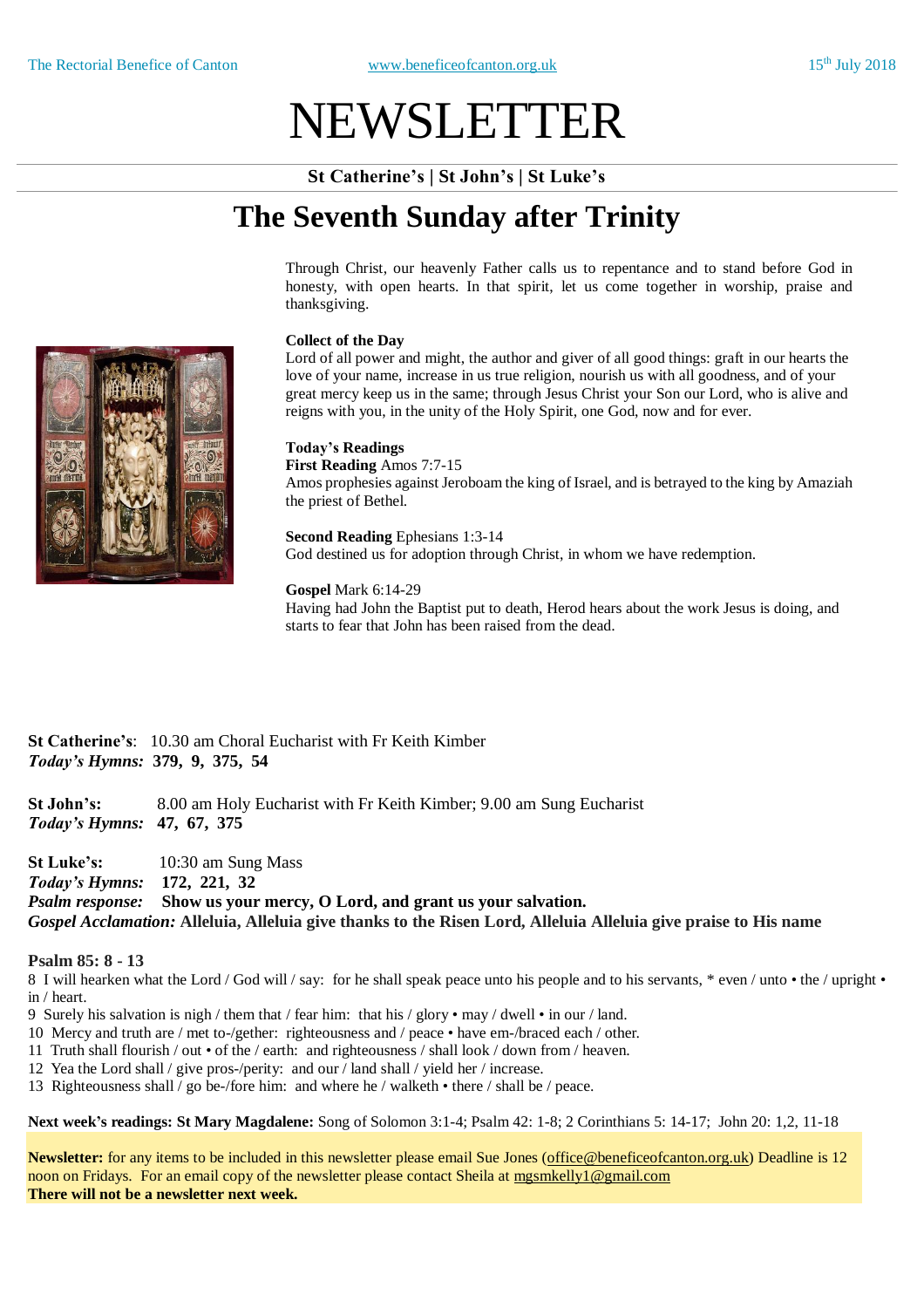# NEWSLETTER

**St Catherine's | St John's | St Luke's**

# **The Seventh Sunday after Trinity**

Through Christ, our heavenly Father calls us to repentance and to stand before God in honesty, with open hearts. In that spirit, let us come together in worship, praise and thanksgiving.

#### **Collect of the Day**

Lord of all power and might, the author and giver of all good things: graft in our hearts the love of your name, increase in us true religion, nourish us with all goodness, and of your great mercy keep us in the same; through Jesus Christ your Son our Lord, who is alive and reigns with you, in the unity of the Holy Spirit, one God, now and for ever.

# **Today's Readings**

**First Reading** Amos 7:7-15 Amos prophesies against Jeroboam the king of Israel, and is betrayed to the king by Amaziah the priest of Bethel.

**Second Reading** Ephesians 1:3-14 God destined us for adoption through Christ, in whom we have redemption.

### **Gospel** Mark 6:14-29

Having had John the Baptist put to death, Herod hears about the work Jesus is doing, and starts to fear that John has been raised from the dead.

**St Catherine's**: 10.30 am Choral Eucharist with Fr Keith Kimber *Today's Hymns:* **379, 9, 375, 54**

**St John's:** 8.00 am Holy Eucharist with Fr Keith Kimber; 9.00 am Sung Eucharist *Today's Hymns:* **47, 67, 375**

**St Luke's:** 10:30 am Sung Mass *Today's Hymns:* **172, 221, 32** *Psalm response:* **Show us your mercy, O Lord, and grant us your salvation.** *Gospel Acclamation:* **Alleluia, Alleluia give thanks to the Risen Lord, Alleluia Alleluia give praise to His name**

#### **Psalm 85: 8 - 13**

8 I will hearken what the Lord / God will / say: for he shall speak peace unto his people and to his servants, \* even / unto • the / upright • in / heart.

9 Surely his salvation is nigh / them that / fear him: that his / glory • may / dwell • in our / land.

- 10 Mercy and truth are / met to-/gether: righteousness and / peace have em-/braced each / other.
- 11 Truth shall flourish / out of the / earth: and righteousness / shall look / down from / heaven.
- 12 Yea the Lord shall / give pros-/perity: and our / land shall / yield her / increase.
- 13 Righteousness shall / go be-/fore him: and where he / walketh there / shall be / peace.

**Next week's readings: St Mary Magdalene:** Song of Solomon 3:1-4; Psalm 42: 1-8; 2 Corinthians 5: 14-17; John 20: 1,2, 11-18

**Newsletter:** for any items to be included in this newsletter please email Sue Jones (office@beneficeofcanton.org.uk) Deadline is 12 noon on Fridays. For an email copy of the newsletter please contact Sheila at mgsmkelly1@gmail.com **There will not be a newsletter next week.**